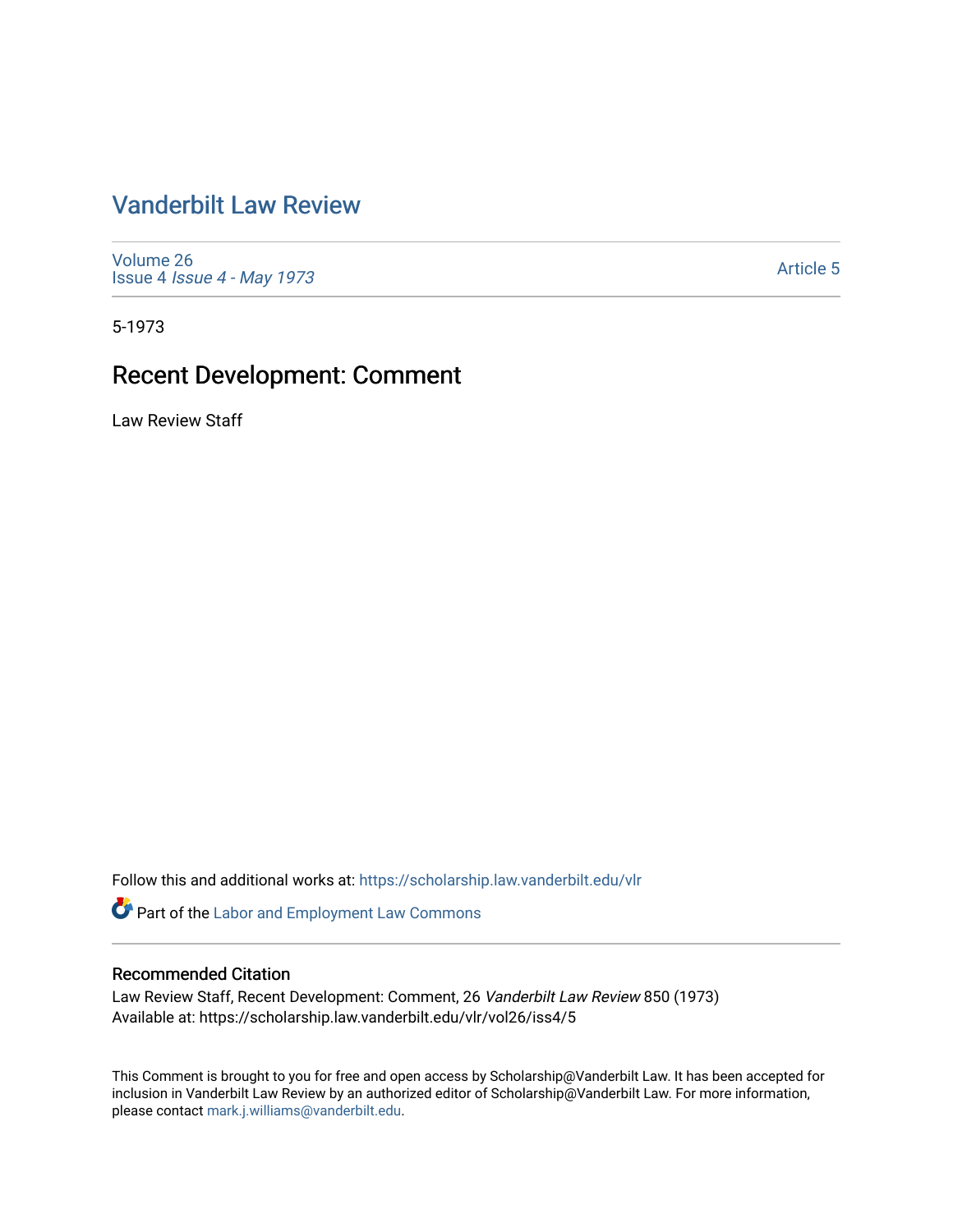# [Vanderbilt Law Review](https://scholarship.law.vanderbilt.edu/vlr)

[Volume 26](https://scholarship.law.vanderbilt.edu/vlr/vol26) Issue 4 [Issue 4 - May 1973](https://scholarship.law.vanderbilt.edu/vlr/vol26/iss4) 

[Article 5](https://scholarship.law.vanderbilt.edu/vlr/vol26/iss4/5) 

5-1973

# Recent Development: Comment

Law Review Staff

Follow this and additional works at: [https://scholarship.law.vanderbilt.edu/vlr](https://scholarship.law.vanderbilt.edu/vlr?utm_source=scholarship.law.vanderbilt.edu%2Fvlr%2Fvol26%2Fiss4%2F5&utm_medium=PDF&utm_campaign=PDFCoverPages)

Part of the [Labor and Employment Law Commons](http://network.bepress.com/hgg/discipline/909?utm_source=scholarship.law.vanderbilt.edu%2Fvlr%2Fvol26%2Fiss4%2F5&utm_medium=PDF&utm_campaign=PDFCoverPages)

#### Recommended Citation

Law Review Staff, Recent Development: Comment, 26 Vanderbilt Law Review 850 (1973) Available at: https://scholarship.law.vanderbilt.edu/vlr/vol26/iss4/5

This Comment is brought to you for free and open access by Scholarship@Vanderbilt Law. It has been accepted for inclusion in Vanderbilt Law Review by an authorized editor of Scholarship@Vanderbilt Law. For more information, please contact [mark.j.williams@vanderbilt.edu.](mailto:mark.j.williams@vanderbilt.edu)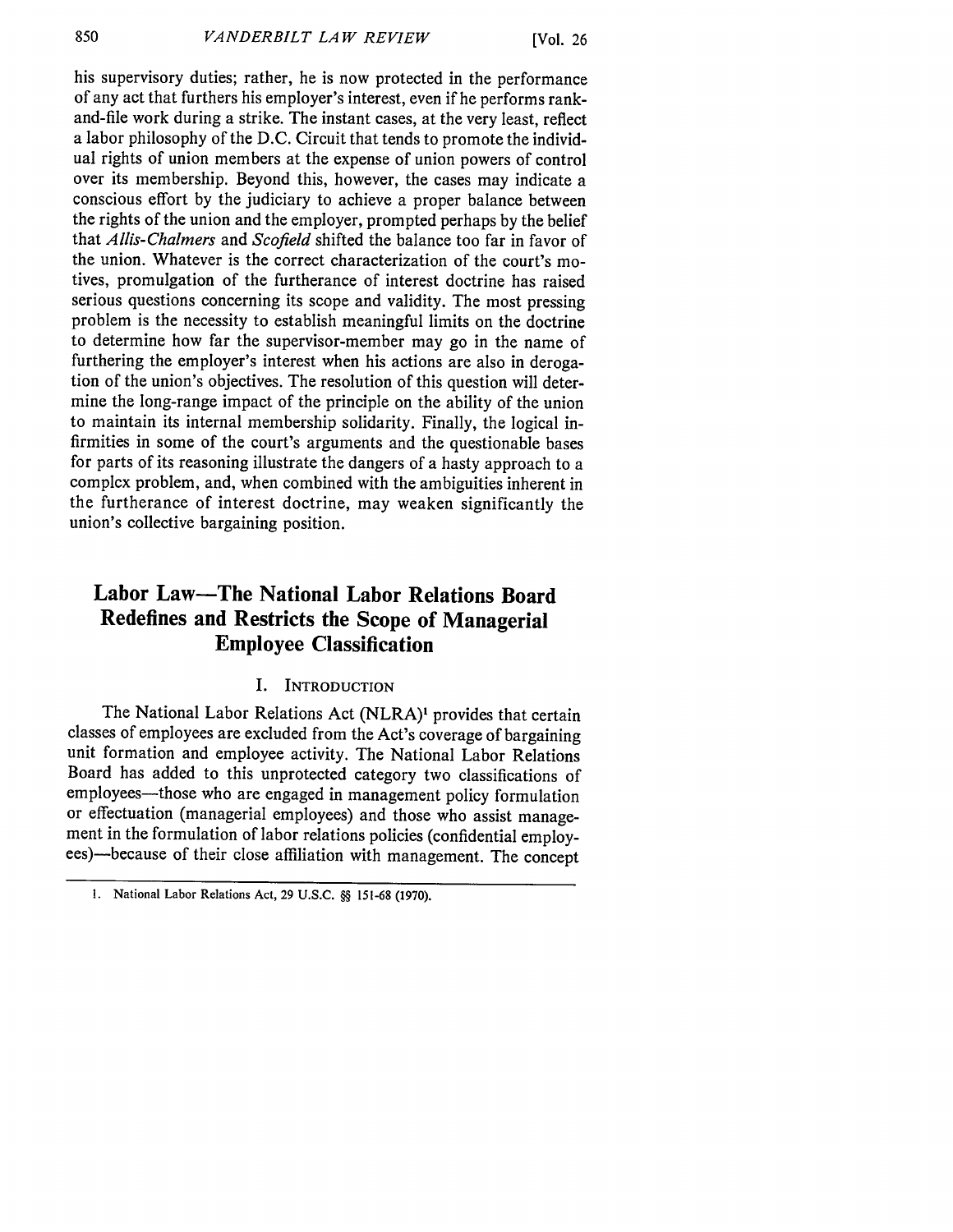his supervisory duties; rather, he is now protected in the performance of any act that furthers his employer's interest, even if he performs rankand-file work during a strike. The instant cases, at the very least, reflect a labor philosophy of the D.C. Circuit that tends to promote the individual rights of union members at the expense of union powers of control over its membership. Beyond this, however, the cases may indicate a conscious effort by the judiciary to achieve a proper balance between the rights of the union and the employer, prompted perhaps by the belief that *Allis-Chalmers* and *Scofield* shifted the balance too far in favor of the union. Whatever is the correct characterization of the court's motives, promulgation of the furtherance of interest doctrine has raised serious questions concerning its scope and validity. The most pressing problem is the necessity to establish meaningful limits on the doctrine to determine how far the supervisor-member may go in the name of furthering the employer's interest when his actions are also in derogation of the union's objectives. The resolution of this question will determine the long-range impact of the principle on the ability of the union to maintain its internal membership solidarity. Finally, the logical infirmities in some of the court's arguments and the questionable bases for parts of its reasoning illustrate the dangers of a hasty approach to a complex problem, and, when combined with the ambiguities inherent in the furtherance of interest doctrine, may weaken significantly the union's collective bargaining position.

### **Labor Law-The National Labor Relations Board Redefines and Restricts the Scope of Managerial Employee Classification**

#### **I.** INTRODUCTION

The National Labor Relations Act (NLRA)' provides that certain classes of employees are excluded from the Act's coverage of bargaining unit formation and employee activity. The National Labor Relations Board has added to this unprotected category two classifications of employees—those who are engaged in management policy formulation or effectuation (managerial employees) and those who assist management in the formulation of labor relations policies (confidential employees)-because of their close affiliation with management. The concept

**<sup>1.</sup>** National Labor Relations Act, 29 U.S.C. **§§** 151-68 (1970).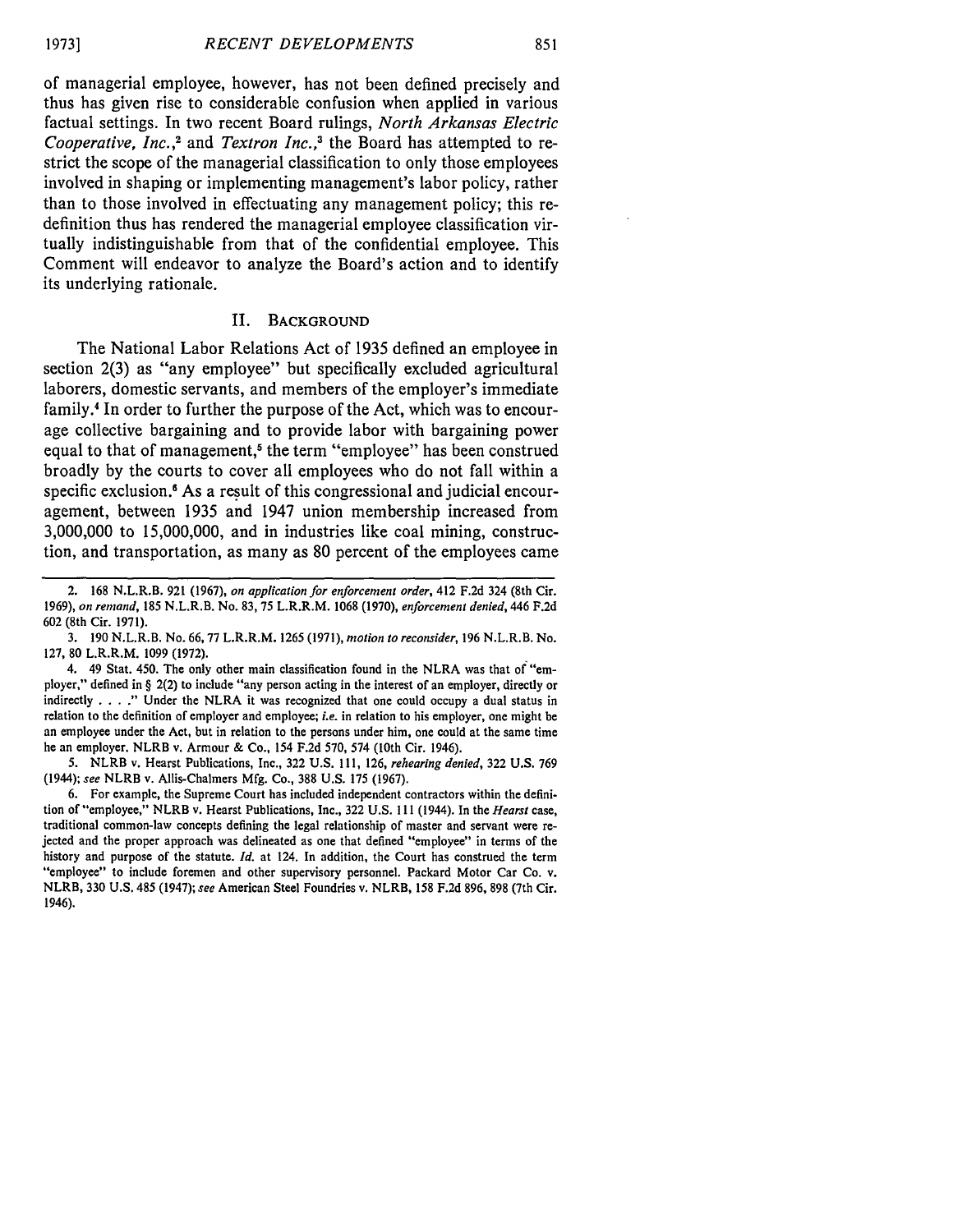of managerial employee, however, has not been defined precisely and thus has given rise to considerable confusion when applied in various factual settings. In two recent Board rulings, *North Arkansas Electric Cooperative, Inc. ,2* and *Textron Inc.* **, 3** the Board has attempted to restrict the scope of the managerial classification to only those employees involved in shaping or implementing management's labor policy, rather than to those involved in effectuating any management policy; this redefinition thus has rendered the managerial employee classification virtually indistinguishable from that of the confidential employee. This Comment will endeavor to analyze the Board's action and to identify its underlying rationale.

#### II. **BACKGROUND**

The National Labor Relations Act of **1935** defined an employee in section **2(3)** as "any employee" but specifically excluded agricultural laborers, domestic servants, and members of the employer's immediate family.<sup>4</sup> In order to further the purpose of the Act, which was to encourage collective bargaining and to provide labor with bargaining power equal to that of management,<sup>5</sup> the term "employee" has been construed broadly **by** the courts to cover all employees who do not fall within a specific exclusion.<sup>6</sup> As a result of this congressional and judicial encouragement, between **1935** and 1947 union membership increased from **3,000,000** to **15,000,000,** and in industries like coal mining, construction, and transportation, as many as **80** percent of the employees came

<sup>2. 168</sup> N.L.R.B. 921 (1967), *on application for enforcement order,* 412 F.2d 324 (8th Cir. **1969),** *on remand,* 185 N.L.R.B. No. **83,** 75 L.R.R.M. 1068 (1970), *enforcement denied,* 446 F.2d 602 (8th Cir. 1971).

<sup>3. 190</sup> N.L.R.B. No. 66, 77 L.R.R.M. 1265 (1971), *motion to reconsider,* 196 N.L.R.B. No. 127, 80 L.R.R.M. 1099 (1972).

<sup>4. 49</sup> Stat. 450. The only other main classification found in the NLRA was that of "employer," defined in § 2(2) to include "any person acting in the interest of an employer, directly or indirectly. **...** Under the NLRA it was recognized that one could occupy a dual status in relation to the definition of employer and employee; *i.e.* in relation to his employer, one might be an employee under the Act, but in relation to the persons under him, one could at the same time be an employer. NLRB v. Armour & Co., 154 F.2d 570, 574 (10th Cir. 1946).

<sup>5.</sup> NLRB v. Hearst Publications, Inc., 322 U.S. 111, 126, *rehearing denied,* 322 U.S. 769 (1944); *see* NLRB v. Allis-Chalmers Mfg. Co., 388 U.S. 175 (1967).

<sup>6.</sup> For example, the Supreme Court has included independent contractors within the definition of "employee," NLRB v. Hearst Publications, Inc., 322 U.S. **111** (1944). In the *Hearst* case, traditional common-law concepts defining the legal relationship of master and servant were rejected and the proper approach was delineated as one that defined "employee" in terms of the history and purpose of the statute. *Id.* at 124. In addition, the Court has construed the term "employee" to include foremen and other supervisory personnel. Packard Motor Car Co. v. NLRB, 330 U.S. 485 (1947); *see* American Steel Foundries v. NLRB, 158 F.2d 896, 898 (7th Cir. 1946).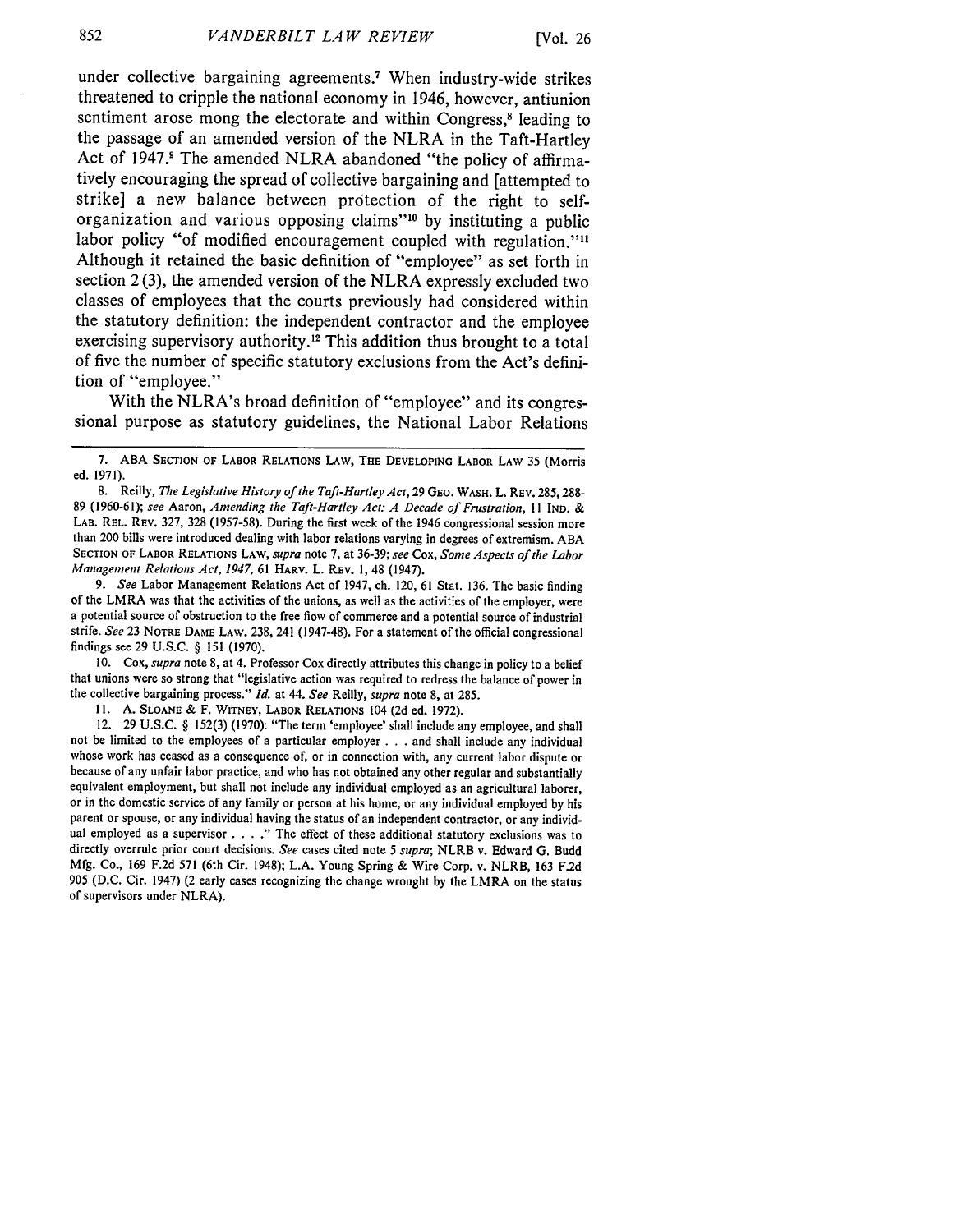under collective bargaining agreements.<sup>7</sup> When industry-wide strikes threatened to cripple the national economy in 1946, however, antiunion sentiment arose mong the electorate and within Congress,<sup>8</sup> leading to the passage of an amended version of the NLRA in the Taft-Hartley Act of 1947.<sup>9</sup> The amended NLRA abandoned "the policy of affirmatively encouraging the spread of collective bargaining and [attempted to strike] a new balance between protection of the right to selforganization and various opposing claims"'" **by** instituting a public labor policy "of modified encouragement coupled with regulation."<sup>11</sup> Although it retained the basic definition of "employee" as set forth in section 2 **(3),** the amended version of the NLRA expressly excluded two classes of employees that the courts previously had considered within the statutory definition: the independent contractor and the employee exercising supervisory authority.<sup>12</sup> This addition thus brought to a total of five the number of specific statutory exclusions from the Act's definition of "employee."

With the NLRA's broad definition of "employee" and its congressional purpose as statutory guidelines, the National Labor Relations

*9. See* Labor Management Relations Act of 1947, ch. 120, 61 Stat. 136. The basic finding of the LMRA was that the activities of the unions, as well as the activities of the employer, were a potential source of obstruction to the free flow of commerce and a potential source of industrial strife. *See* 23 NOTRE DAME LAW. 238, 241 (1947-48). For a statement of the official congressional findings see 29 U.S.C. § 151 (1970).

10. Cox, *supra* note 8, at 4. Professor Cox directly attributes this change in policy to a belief that unions were so strong that "legislative action was required to redress the balance of power in the collective bargaining process." *Id.* at 44. *See* Reilly, *supra* note 8, at 285.

**11. A.** SLOANE **&** F. WITNEY, LABOR **RELATIONS** 104 **(2d** ed. 1972).

12. 29 U.S.C. § 152(3) (1970): "The term 'employee' shall include any employee, and shall not be limited to the employees of a particular employer . . . and shall include any individual whose work has ceased as a consequence of, or in connection with, any current labor dispute or because of any unfair labor practice, and who has not obtained any other regular and substantially equivalent employment, but shall not include any individual employed as an agricultural laborer, or in the domestic service of any family or person at his home, or any individual employed by his parent or spouse, or any individual having the status of an independent contractor, or any individual employed as a supervisor **...."** The effect of these additional statutory exclusions was to directly overrule prior court decisions. *See* cases cited note *5 supra;* NLRB v. Edward G. Budd Mfg. Co., 169 F.2d 571 (6th Cir. 1948); L.A. Young Spring & Wire Corp. v. NLRB, 163 F.2d 905 (D.C. Cir. 1947) (2 early cases recognizing the change wrought by the LMRA on the status of supervisors under NLRA).

**<sup>7.</sup> ABA SECTION** OF **LABOR** RELATIONS LAW, THE **DEVELOPING** LABOR LAW **35** (Morris ed. 1971).

<sup>8.</sup> Reilly, *The Legislative History of the Taft-Hartley Act,* 29 GEO. WASH. L. REV. *285,* 288- 89 (1960-6 **1);** *see* Aaron, *Amending the Taft-Hartley Act: A Decade of Frustration,* **I1 IND.** & LAB. REL. REV. 327, 328 (1957-58). During the first week of the 1946 congressional session more than 200 bills were introduced dealing with labor relations varying in degrees of extremism. ABA SECTION OF LABOR RELATIONS LAW, *supra* note **7,** at 36-39; *see* Cox, *Some Aspects of the Labor Management Relations Act, 1947,* 61 HARV. L. REV. 1, 48 (1947).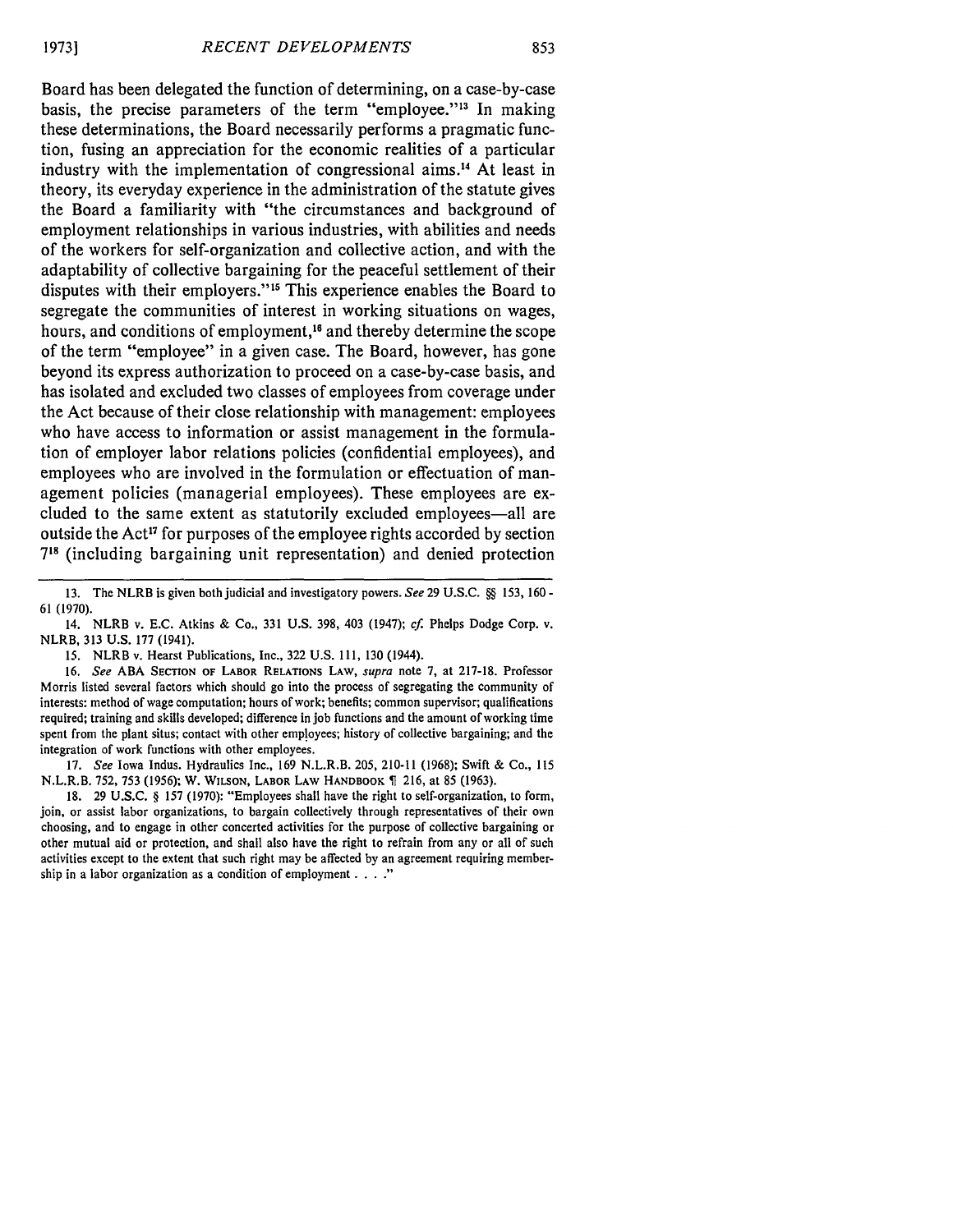Board has been delegated the function of determining, on a case-by-case basis, the precise parameters of the term "employee.""3 In making these determinations, the Board necessarily performs a pragmatic function, fusing an appreciation for the economic realities of a particular industry with the implementation of congressional aims.<sup>14</sup> At least in theory, its everyday experience in the administration of the statute gives the Board a familiarity with "the circumstances and background of employment relationships in various industries, with abilities and needs of the workers for self-organization and collective action, and with the adaptability of collective bargaining for the peaceful settlement of their disputes with their employers."<sup>15</sup> This experience enables the Board to segregate the communities of interest in working situations on wages, hours, and conditions of employment,<sup>16</sup> and thereby determine the scope of the term "employee" in a given case. The Board, however, has gone beyond its express authorization to proceed on a case-by-case basis, and has isolated and excluded two classes of employees from coverage under the Act because of their close relationship with management: employees who have access to information or assist management in the formulation of employer labor relations policies (confidential employees), and employees who are involved in the formulation or effectuation of management policies (managerial employees). These employees are excluded to the same extent as statutorily excluded employees—all are outside the Act<sup>17</sup> for purposes of the employee rights accorded by section **<sup>718</sup>**(including bargaining unit representation) and denied protection

13. The NLRB is given both judicial and investigatory powers. *See* 29 U.S.C. **§§** 153, 160 **-** 61 (1970).

15. NLRB v. Hearst Publications, Inc., 322 U.S. 111, 130 (1944).

16. *See* ABA SECTION **OF** LABOR RELATIONS LAW, *supra* note **7,** at **217-18.** Professor Morris listed several factors which should go into the process of segregating the community of interests: method of wage computation; hours of work; benefits; common supervisor; qualifications required; training and skills developed; difference in **job** functions and the amount of working time spent from the plant situs; contact with other employees; history of collective bargaining; and the integration of work functions with other employees.

17. *See* Iowa Indus. Hydraulics Inc., 169 N.L.R.B. 205, 210-11 (1968); Swift & Co., 115 N.L.R.B. 752, 753 (1956); W. WILSON, LABOR LAW HANDBOOK **1** 216, at 85 (1963).

18. 29 U.S.C. § 157 (1970): "Employees shall have the right to self-organization, to form, join, or assist labor organizations, to bargain collectively through representatives of their own choosing, and to engage in other concerted activities for the purpose of collective bargaining or other mutual aid or protection, and shall also have the right to refrain from any or all of such activities except to the extent that such right may be affected **by** an agreement requiring membership in a labor organization as a condition of employment . **.. ."**

<sup>14.</sup> NLRB v. E.C. Atkins & Co., 331 U.S. 398, 403 (1947); *cf* Phelps Dodge Corp. v. NLRB, 313 U.S. 177 (1941).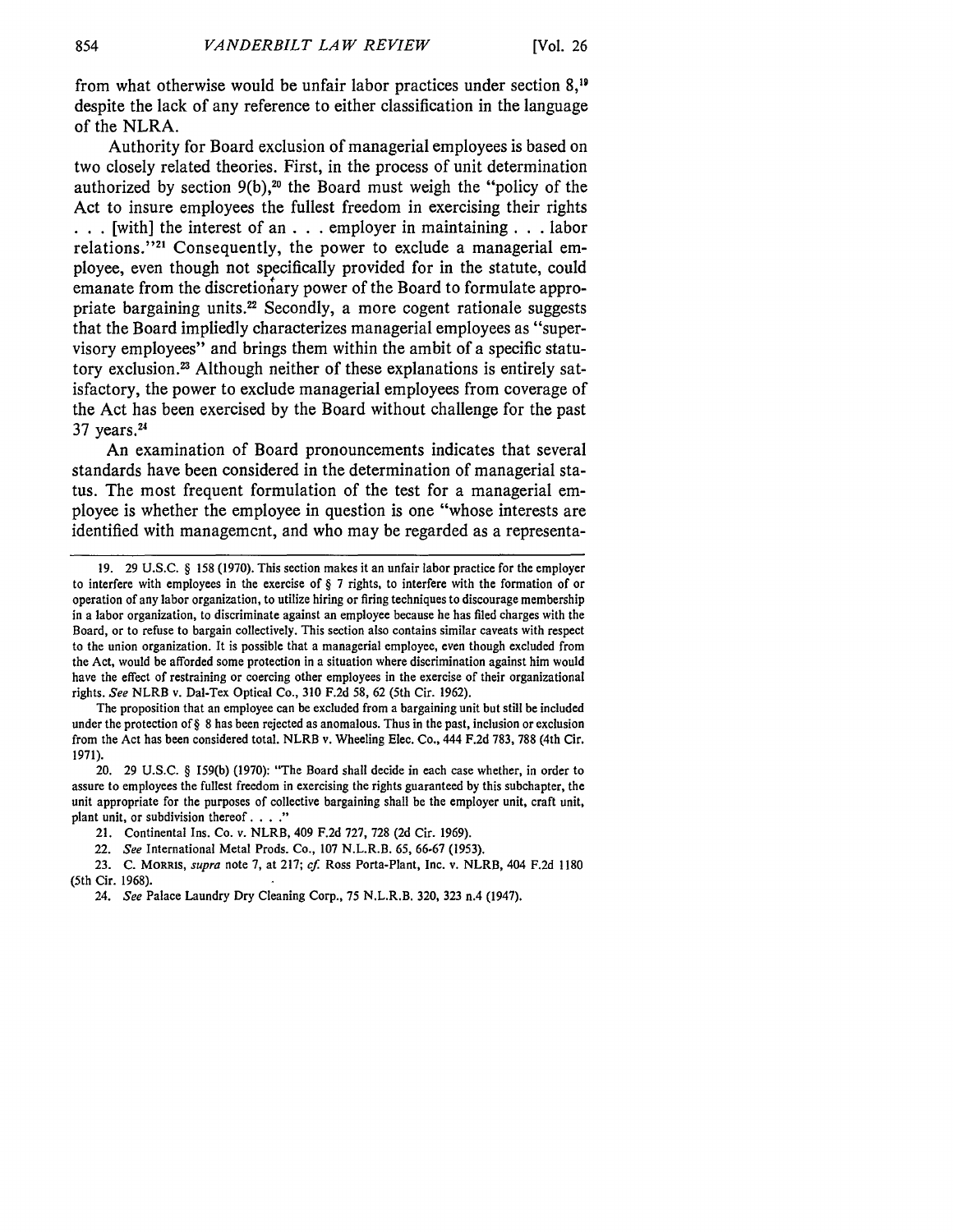from what otherwise would be unfair labor practices under section **8,1** despite the lack of any reference to either classification in the language of the NLRA.

Authority for Board exclusion of managerial employees is based on two closely related theories. First, in the process of unit determination authorized by section 9(b),<sup>20</sup> the Board must weigh the "policy of the Act to insure employees the fullest freedom in exercising their rights **• . .** [with] the interest of an **. . .** employer in maintaining. **. .** labor relations."<sup>21</sup> Consequently, the power to exclude a managerial employee, even though not specifically provided for in the statute, could emanate from the discretionary power of the Board to formulate appropriate bargaining units.<sup>22</sup> Secondly, a more cogent rationale suggests that the Board impliedly characterizes managerial employees as "supervisory employees" and brings them within the ambit of a specific statutory exclusion.<sup>23</sup> Although neither of these explanations is entirely satisfactory, the power to exclude managerial employees from coverage of the Act has been exercised **by** the Board without challenge for the past **37** years. 24

An examination of Board pronouncements indicates that several standards have been considered in the determination of managerial status. The most frequent formulation of the test for a managerial employee is whether the employee in question is one "whose interests are identified with management, and who may be regarded as a representa-

The proposition that an employee can be excluded from a bargaining unit but still be included under the protection of§ 8 has been rejected as anomalous. Thus in the past, inclusion or exclusion from the Act has been considered total. NLRB v. Wheeling Elec. Co., 444 F.2d 783, 788 (4th Cir. 1971).

20. 29 U.S.C. § 159(b) (1970): "The Board shall decide in each case whether, in order to assure to employees the fullest freedom in exercising the rights guaranteed by this subchapter, the unit appropriate for the purposes of collective bargaining shall be the employer unit, craft unit, plant unit, or subdivision thereof **.... "**

21. Continental Ins. Co. v. NLRB, 409 F.2d 727, 728 (2d Cir. 1969).

22. *See* International Metal Prods. Co., 107 N.L.R.B. 65, 66-67 (1953).

23. C. MORRIS, *supra* note 7, at 217; *cf.* Ross Porta-Plant, Inc. v. NLRB, 404 F.2d 1180 (5th Cir. 1968).

24. *See* Palace Laundry Dry Cleaning Corp., 75 N.L.R.B. 320, 323 n.4 (1947).

**<sup>19.</sup>** 29 U.S.C. § 158 (1970). This section makes it an unfair labor practice for the employer to interfere with employees in the exercise of § 7 rights, to interfere with the formation of or operation of any labor organization, to utilize hiring or firing techniques to discourage membership in a labor organization, to discriminate against an employee because he has filed charges with the Board, or to refuse to bargain collectively. This section also contains similar caveats with respect to the union organization. It is possible that a managerial employee, even though excluded from the Act, would be afforded some protection in a situation where discrimination against him would have the effect of restraining or coercing other employees in the exercise of their organizational rights. *See* NLRB v. Dal-Tex Optical Co., 310 F.2d 58, 62 (5th Cir. 1962).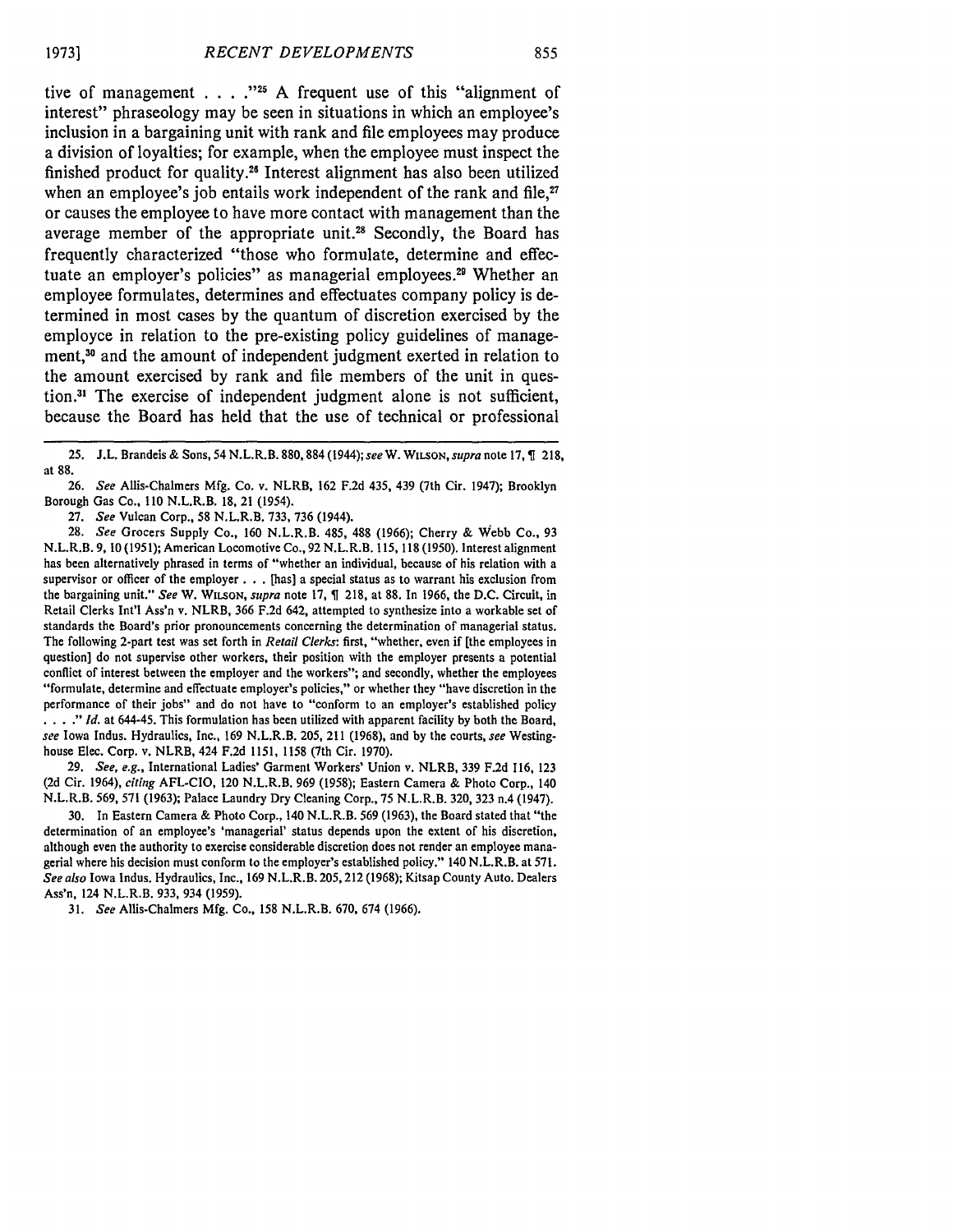tive of management **. . . ."5 A** frequent use of this "alignment of interest" phraseology may be seen in situations in which an employee's inclusion in a bargaining unit with rank and file employees may produce a division of loyalties; for example, when the employee must inspect the finished product for quality.<sup>26</sup> Interest alignment has also been utilized when an employee's job entails work independent of the rank and file,<sup>27</sup> or causes the employee to have more contact with management than the average member of the appropriate unit.<sup>28</sup> Secondly, the Board has frequently characterized "those who formulate, determine and effectuate an employer's policies" as managerial employees.<sup>29</sup> Whether an employee formulates, determines and effectuates company policy is determined in most cases **by** the quantum of discretion exercised **by** the employee in relation to the pre-existing policy guidelines of management,<sup>30</sup> and the amount of independent judgment exerted in relation to the amount exercised **by** rank and file members of the unit in question." The exercise of independent judgment alone is not sufficient, because the Board has held that the use of technical or professional

27. *See* Vulcan Corp., 58 N.L.R.B. 733, 736 (1944).

28. *See* Grocers Supply Co., 160 N.L.R.B. 485, 488 (1966); Cherry & Webb Co., 93 N.L.R.B. 9, **10** (1951); American Locomotive Co., 92 N.L.R.B. 115, 118 (1950). Interest alignment has been alternatively phrased in terms of "whether an individual, because of his relation with a supervisor or officer of the employer **. .** . [has] a special status as to warrant his exclusion from the bargaining unit." *See* W. **WILSON,** *supra* note 17, 218, at 88. In 1966, the D.C. Circuit, in Retail Clerks Int'l Ass'n v. NLRB, 366 F.2d 642, attempted to synthesize into a workable set of standards the Board's prior pronouncements concerning the determination of managerial status. The following 2-part test was set forth in *Retail Clerks:* first, "whether, even if [the employees in question] do not supervise other workers, their position with the employer presents a potential conflict of interest between the employer and the workers"; and secondly, whether the employees "formulate, determine and effectuate employer's policies," or whether they "have discretion in the performance of their jobs" and do not have to "conform to an employer's established policy **...** *"Id.* at 644-45. This formulation has been utilized with apparent facility by both the Board, *see* Iowa Indus. Hydraulics, Inc., 169 N.L.R.B. 205, 211 (1968), and by the courts, *see* Westinghouse Elec. Corp. v. NLRB, 424 F.2d 1151, 1158 (7th Cir. 1970).

29. *See, e.g.,* International Ladies' Garment Workers' Union v. NLRB, 339 F.2d 116, 123 (2d Cir. 1964), *citing* AFL-CIO, 120 N.L.R.B. 969 (1958); Eastern Camera & Photo Corp., 140 N.L.R.B. 569, 571 (1963); Palace Laundry Dry Cleaning Corp., 75 N.L.R.B. 320, 323 n.4 (1947).

30. In Eastern Camera & Photo Corp., 140 N.L.R.B. 569 (1963), the Board stated that "the determination of an employee's 'managerial' status depends upon the extent of his discretion, although even the authority to exercise considerable discretion does not render an employee managerial where his decision must conform to the employer's established policy." 140 N.L.R.B. at 571. *See also* Iowa Indus. Hydraulics, Inc., 169 N.L.R.B. 205,212 (1968); Kitsap County Auto. Dealers Ass'n, 124 N.L.R.B. 933, 934 (1959).

31. *See* Allis-Chalmers Mfg. Co., 158 N.L.R.B. 670, 674 (1966).

<sup>25.</sup> **J.L.** Brandeis & Sons, 54 N.L.R.B. 880,884 (1944); *see* W. **WILSON,** *supra* note **17, 1** 218, at 88.

<sup>26.</sup> *See* Allis-Chalmers Mfg. Co. v. NLRB, 162 F.2d 435, 439 (7th Cir. 1947); Brooklyn Borough Gas Co., 110 N.L.R.B. 18, 21 (1954).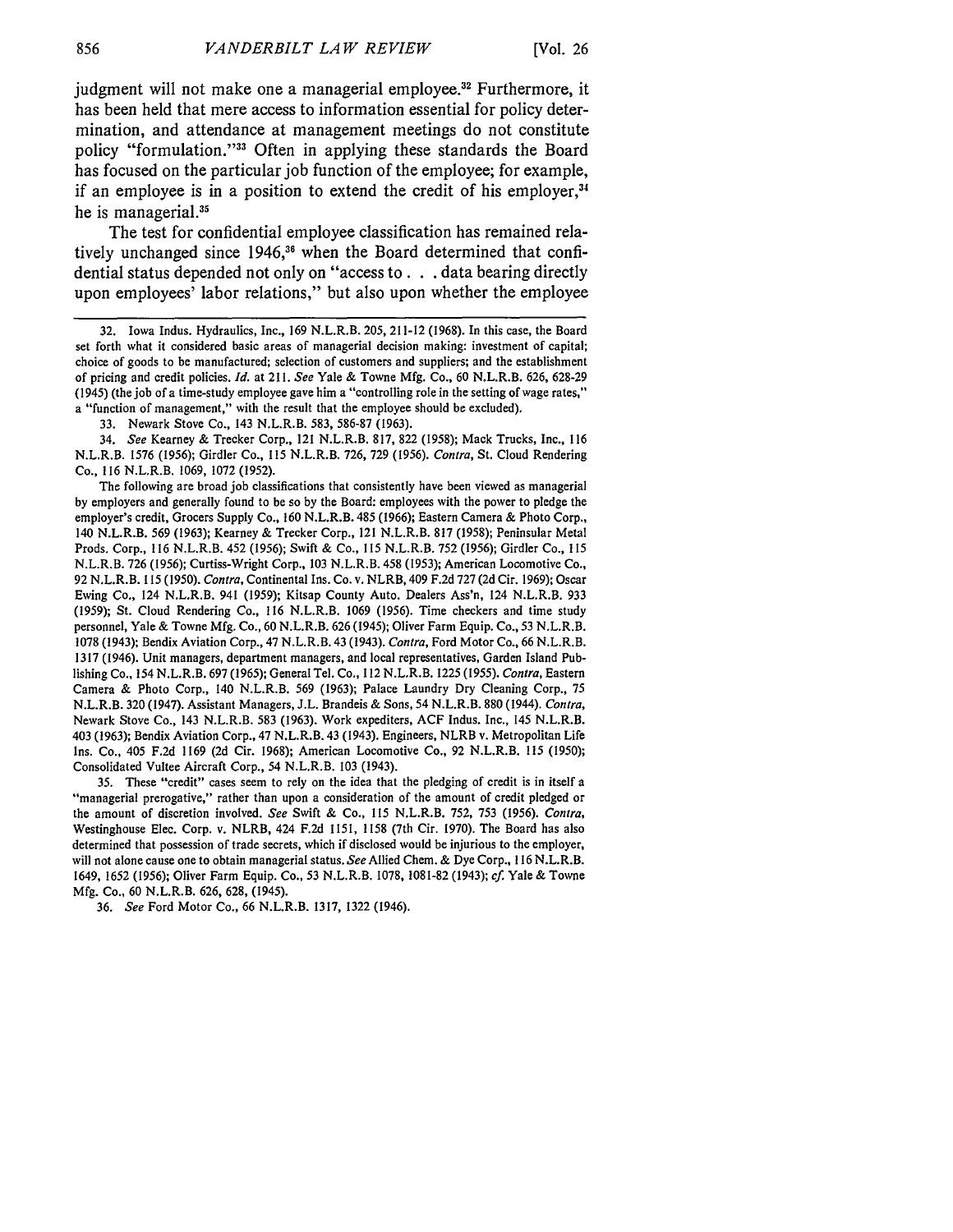judgment will not make one a managerial employee.<sup>32</sup> Furthermore, it has been held that mere access to information essential for policy determination, and attendance at management meetings do not constitute policy "formulation."<sup>33</sup> Often in applying these standards the Board has focused on the particular job function of the employee; for example, if an employee is in a position to extend the credit of his employer,<sup>34</sup> he is managerial.<sup>35</sup>

The test for confidential employee classification has remained relatively unchanged since **1946,36** when the Board determined that confidential status depended not only on "access **to. . .**data bearing directly upon employees' labor relations," but also upon whether the employee

34. *See* Kearney & Trecker Corp., 121 N.L.R.B. 817, 822 (1958); Mack Trucks, Inc., 116 N.L.R.B. 1576 (1956); Girdler Co., 115 N.L.R.B. 726, 729 (1956). *Contra,* St. Cloud Rendering Co., 116 N.L.R.B. 1069, 1072 (1952).

The following are broad job classifications that consistently have been viewed as managerial by employers and generally found to be so by the Board: employees with the power to pledge the employer's credit, Grocers Supply Co., 160 N.L.R.B. 485 (1966); Eastern Camera & Photo Corp., 140 N.L.R.B. 569 (1963); Kearney & Trecker Corp., 121 N.L.R.B. 817 (1958); Peninsular Metal Prods. Corp., 116 N.L.R.B. 452 (1956); Swift & Co., 115 N.L.R.B. 752 (1956); Girdler Co., 115 N.L.R.B. 726 (1956); Curtiss-Wright Corp., 103 N.L.R.B. 458 (1953); American Locomotive Co., 92 N.L.R.B. 115 *(1950). Contra,* Continental Ins. Co. v. NLRB, 409 F.2d 727 (2d Cir. 1969); Oscar Ewing Co., 124 N.L.R.B. 941 (1959); Kitsap County Auto. Dealers Ass'n, 124 N.L.R.B. 933 (1959); St. Cloud Rendering Co., 116 N.L.R.B. 1069 (1956). Time checkers and time study personnel, Yale & Towne Mfg. Co., 60 N.L.R.B. 626 (1945); Oliver Farm Equip. Co., 53 N.L.R.B. 1078 (1943); Bendix Aviation Corp., 47 N.L.R.B. 43 (1943). *Contra,* Ford Motor Co., 66 N.L.R.B. 1317 (1946). Unit managers, department managers, and local representatives, Garden Island Publishing Co., 154 N.L.R.B. 697 (1965); General Tel. Co., 112 N.L.R.B. 1225 (1955). *Contra,* Eastern Camera & Photo Corp., 140 N.L.R.B. 569 (1963); Palace Laundry Dry Cleaning Corp., 75 N.L.R.B. 320 (1947). Assistant Managers, J.L. Brandeis & Sons, 54 N.L.R.B. 880 (1944). *Contra,* Newark Stove Co., 143 N.L.R.B. 583 (1963). Work expediters, ACF Indus. Inc., 145 N.L.R.B. 403 (1963); Bendix Aviation Corp., 47 N.L.R.B. 43 (1943). Engineers, NLRB v. Metropolitan Life Ins. Co., 405 F.2d 1169 (2d Cir. 1968); American Locomotive Co., 92 N.L.R.B. 115 (1950); Consolidated Vultee Aircraft Corp., 54 N.L.R.B. 103 (1943).

35. These "credit" cases seem to rely on the idea that the pledging of credit is in itself a "managerial prerogative," rather than upon a consideration of the amount of credit pledged or the amount of discretion involved. *See* Swift & Co., 115 N.L.R.B. 752, 753 (1956). *Contra,* Westinghouse Elec. Corp. v. NLRB, 424 F.2d 1151, 1158 (7th Cir. 1970). The Board has also determined that possession of trade secrets, which if disclosed would be injurious to the employer, will not alone cause one to obtain managerial status. *See* Allied Chem. & Dye Corp., 116 N.L.R.B. 1649, 1652 (1956); Oliver Farm Equip. Co., 53 N.L.R.B. 1078, 1081-82 (1943); *cf.* Yale & Towne Mfg. Co., 60 N.L.R.B. 626, 628, (1945).

36. *See* Ford Motor Co., 66 N.L.R.B. 1317, 1322 (1946).

<sup>32.</sup> Iowa Indus. Hydraulics, Inc., 169 N.L.R.B. 205, 211-12 (1968). In this case, the Board set forth what it considered basic areas of managerial decision making: investment of capital; choice of goods to be manufactured; selection of customers and suppliers; and the establishment of pricing and credit policies. *Id.* at 211. *See* Yale & Towne Mfg. Co., 60 N.L.R.B. 626, 628-29 (1945) (the job of a time-study employee gave him a "controlling role in the setting of wage rates," a "function of management," with the result that the employee should be excluded),

<sup>33.</sup> Newark Stove Co., 143 N.L.R.B. 583, 586-87 (1963).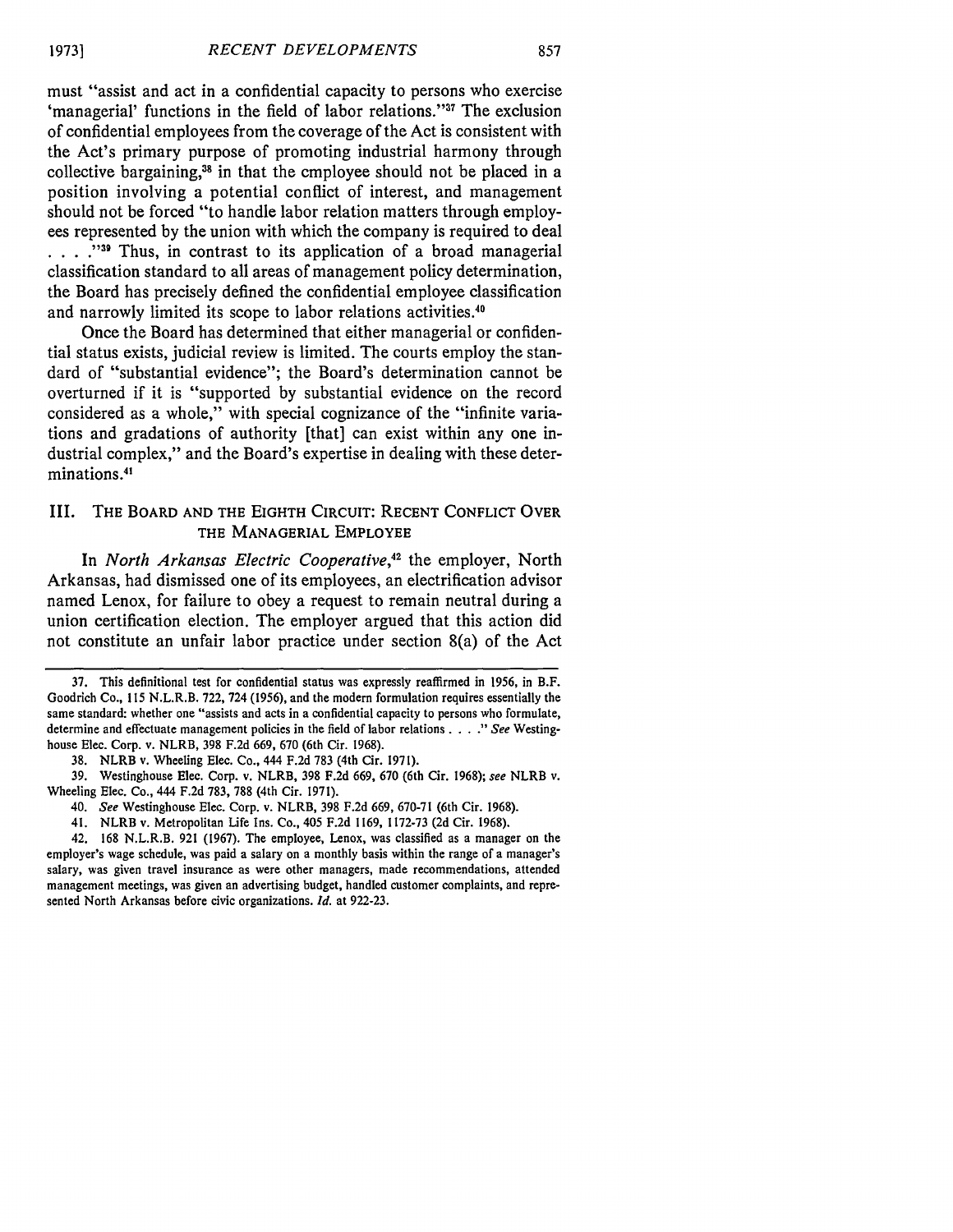must "assist and act in a confidential capacity to persons who exercise 'managerial' functions in the field of labor relations."<sup>37</sup> The exclusion of confidential employees from the coverage of the Act is consistent with the Act's primary purpose of promoting industrial harmony through collective bargaining,<sup>38</sup> in that the employee should not be placed in a position involving a potential conflict of interest, and management should not be forced "to handle labor relation matters through employees represented by the union with which the company is required to deal **.** . . . . **"39** Thus, in contrast to its application of a broad managerial classification standard to all areas of management policy determination, the Board has precisely defined the confidential employee classification and narrowly limited its scope to labor relations activities.<sup>40</sup>

Once the Board has determined that either managerial or confidential status exists, judicial review is limited. The courts employ the standard of "substantial evidence"; the Board's determination cannot be overturned if it is "supported by substantial evidence on the record considered as a whole," with special cognizance of the "infinite variations and gradations of authority [that] can exist within any one industrial complex," and the Board's expertise in dealing with these determinations.<sup>41</sup>

#### III. THE BOARD **AND** THE EIGHTH **CIRCUIT: RECENT CONFLICT** OVER THE MANAGERIAL EMPLOYEE

In *North Arkansas Electric Cooperative,42* the employer, North Arkansas, had dismissed one of its employees, an electrification advisor named Lenox, for failure to obey a request to remain neutral during a union certification election. The employer argued that this action did not constitute an unfair labor practice under section 8(a) of the Act

37. This definitional test for confidential status was expressly reaffirmed in 1956, in B.F. Goodrich Co., 115 N.L.R.B. 722, 724 (1956), and the modern formulation requires essentially the same standard: whether one "assists and acts in a confidential capacity to persons who formulate, determine and effectuate management policies in the field of labor relations . . . ." See Westinghouse Elec. Corp. v. NLRB, 398 F.2d 669, 670 (6th Cir. 1968).

38. NLRB v. Wheeling Elec. Co., 444 F.2d 783 (4th Cir. 1971).

- 40. *See* Westinghouse Elec. Corp. v. NLRB, 398 F.2d 669, 670-71 (6th Cir. 1968).
- 41. NLRB v. Metropolitan Life Ins. Co., 405 F.2d 1169, 1172-73 (2d Cir. 1968).

42. 168 N.L.R.B. 921 (1967). The employee, Lenox, was classified as a manager on the employer's wage schedule, was paid a salary on a monthly basis within the range of a manager's salary, was given travel insurance as were other managers, made recommendations, attended management meetings, was given an advertising budget, handled customer complaints, and represented North Arkansas before civic organizations. *Id.* at 922-23.

<sup>39.</sup> Westinghouse Elec. Corp. v. NLRB, 398 F.2d 669, 670 (6th Cir. 1968); see NLRB v. Wheeling Elec. Co., 444 F.2d 783, 788 (4th Cir. 1971).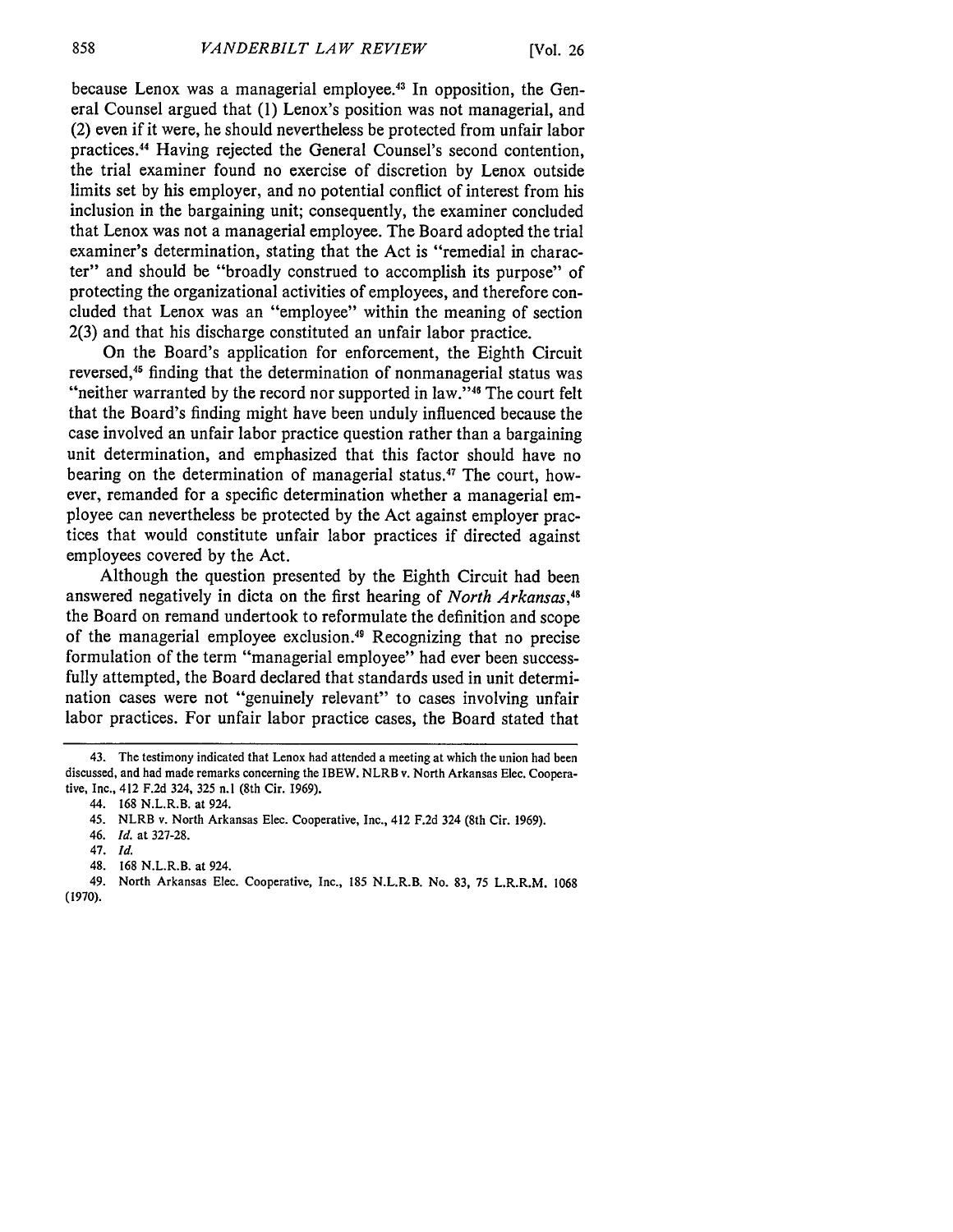because Lenox was a managerial employee.43 In opposition, the General Counsel argued that (1) Lenox's position was not managerial, and (2) even if it were, he should nevertheless be protected from unfair labor practices.44 Having rejected the General Counsel's second contention, the trial examiner found no exercise of discretion by Lenox outside limits set by his employer, and no potential conflict of interest from his inclusion in the bargaining unit; consequently, the examiner concluded that Lenox was not a managerial employee. The Board adopted the trial examiner's determination, stating that the Act is "remedial in character" and should be "broadly construed to accomplish its purpose" of protecting the organizational activities of employees, and therefore concluded that Lenox was an "employee" within the meaning of section 2(3) and that his discharge constituted an unfair labor practice.

On the Board's application for enforcement, the Eighth Circuit reversed,<sup>45</sup> finding that the determination of nonmanagerial status was "neither warranted by the record nor supported in law."<sup>46</sup> The court felt that the Board's finding might have been unduly influenced because the case involved an unfair labor practice question rather than a bargaining unit determination, and emphasized that this factor should have no bearing on the determination of managerial status.<sup>47</sup> The court, however, remanded for a specific determination whether a managerial employee can nevertheless be protected by the Act against employer practices that would constitute unfair labor practices if directed against employees covered by the Act.

Although the question presented by the Eighth Circuit had been answered negatively in dicta on the first hearing of *North Arkansas,48* the Board on remand undertook to reformulate the definition and scope of the managerial employee exclusion.<sup>49</sup> Recognizing that no precise formulation of the term "managerial employee" had ever been successfully attempted, the Board declared that standards used in unit determination cases were not "genuinely relevant" to cases involving unfair labor practices. For unfair labor practice cases, the Board stated that

<sup>43.</sup> The testimony indicated that Lenox had attended a meeting at which the union had been discussed, and had made remarks concerning the IBEW. NLRB v. North Arkansas Elec. Cooperative, Inc., 412 F.2d 324, **325** n.1 (8th Cir. 1969).

<sup>44. 168</sup> N.L.R.B. at 924.

<sup>45.</sup> NLRB v. North Arkansas Elec. Cooperative, Inc., 412 F.2d 324 (8th Cir. 1969).

<sup>46.</sup> *Id.* at 327-28.

<sup>47.</sup> *Id.*

<sup>48. 168</sup> N.L.R.B. at 924.

<sup>49.</sup> North Arkansas Elec. Cooperative, Inc., 185 N.L.R.B. No. 83, 75 L.R.R.M. 1068 (1970).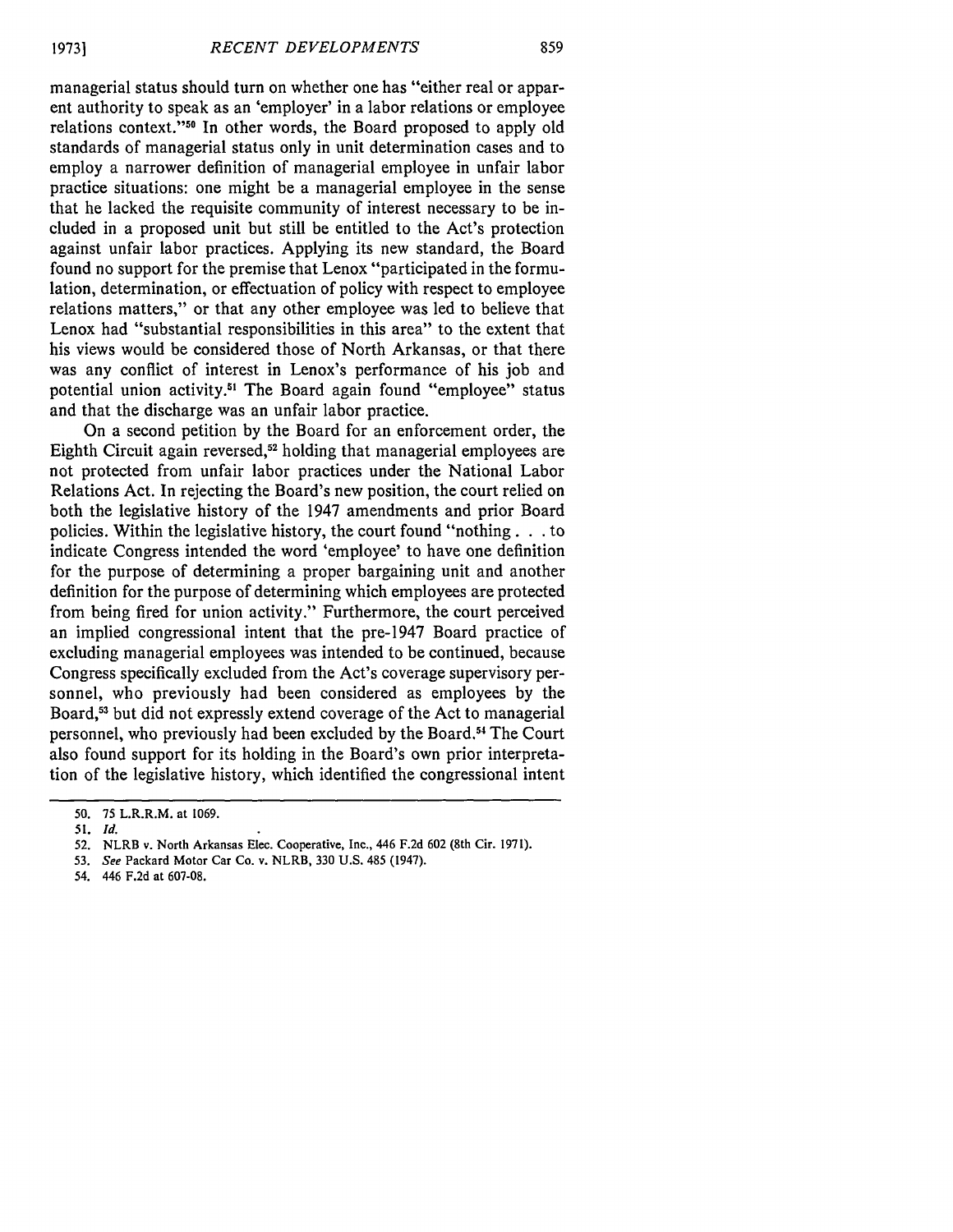managerial status should turn on whether one has "either real or apparent authority to speak as an 'employer' in a labor relations or employee relations context."<sup>50</sup> In other words, the Board proposed to apply old standards of managerial status only in unit determination cases and to employ a narrower definition of managerial employee in unfair labor practice situations: one might be a managerial employee in the sense that he lacked the requisite community of interest necessary to be included in a proposed unit but still be entitled to the Act's protection against unfair labor practices. Applying its new standard, the Board found no support for the premise that Lenox "participated in the formulation, determination, or effectuation of policy with respect to employee relations matters," or that any other employee was led to believe that Lenox had "substantial responsibilities in this area" to the extent that his views would be considered those of North Arkansas, or that there was any conflict of interest in Lenox's performance of his job and potential union activity.<sup>51</sup> The Board again found "employee" status and that the discharge was an unfair labor practice.

On a second petition by the Board for an enforcement order, the Eighth Circuit again reversed,<sup>52</sup> holding that managerial employees are not protected from unfair labor practices under the National Labor Relations Act. In rejecting the Board's new position, the court relied on both the legislative history of the 1947 amendments and prior Board policies. Within the legislative history, the court found "nothing. **.** . to indicate Congress intended the word 'employee' to have one definition for the purpose of determining a proper bargaining unit and another definition for the purpose of determining which employees are protected from being fired for union activity." Furthermore, the court perceived an implied congressional intent that the pre-1947 Board practice of excluding managerial employees was intended to be continued, because Congress specifically excluded from the Act's coverage supervisory personnel, who previously had been considered as employees by the Board,53 but did not expressly extend coverage of the Act to managerial personnel, who previously had been excluded by the Board.54 The Court also found support for its holding in the Board's own prior interpretation of the legislative history, which identified the congressional intent

54. 446 F.2d at 607-08.

<sup>50. 75</sup> L.R.R.M. at 1069.

<sup>51.</sup> *Id.*

**<sup>52.</sup>** NLRB v. North Arkansas Elec. Cooperative, Inc., 446 F.2d 602 (8th Cir. 1971).

<sup>53.</sup> *See* Packard Motor Car Co. v. NLRB, 330 U.S. 485 (1947).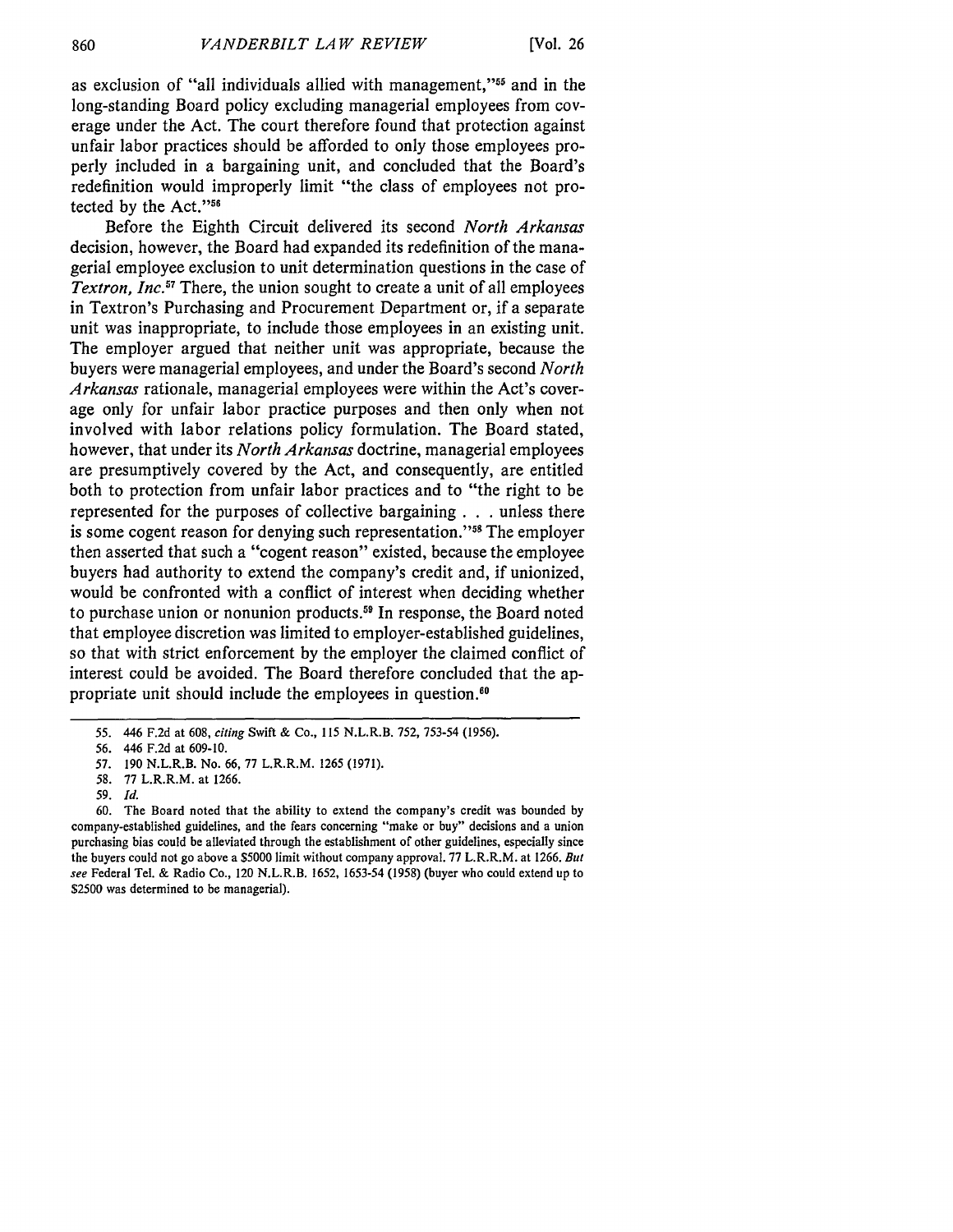as exclusion of "all individuals allied with management,"<sup>55</sup> and in the long-standing Board policy excluding managerial employees from coverage under the Act. The court therefore found that protection against unfair labor practices should be afforded to only those employees properly included in a bargaining unit, and concluded that the Board's redefinition would improperly limit "the class of employees not protected by the Act."<sup>56</sup>

Before the Eighth Circuit delivered its second *North Arkansas* decision, however, the Board had expanded its redefinition of the managerial employee exclusion to unit determination questions in the case of *Textron, Inc.57* There, the union sought to create a unit of all employees in Textron's Purchasing and Procurement Department or, if a separate unit was inappropriate, to include those employees in an existing unit. The employer argued that neither unit was appropriate, because the buyers were managerial employees, and under the Board's second *North Arkansas* rationale, managerial employees were within the Act's coverage only for unfair labor practice purposes and then only when not involved with labor relations policy formulation. The Board stated, however, that under its *North Arkansas* doctrine, managerial employees are presumptively covered by the Act, and consequently, are entitled both to protection from unfair labor practices and to "the right to be represented for the purposes of collective bargaining **. . .** unless there is some cogent reason for denying such representation."<sup>58</sup> The employer then asserted that such a "cogent reason" existed, because the employee buyers had authority to extend the company's credit and, if unionized, would be confronted with a conflict of interest when deciding whether to purchase union or nonunion products.<sup>59</sup> In response, the Board noted that employee discretion was limited to employer-established guidelines, so that with strict enforcement by the employer the claimed conflict of interest could be avoided. The Board therefore concluded that the appropriate unit should include the employees in question."

*<sup>55.</sup>* 446 F.2d at 608, *citing* Swift & Co., 115 N.L.R.B. **752, 753-54** (1956).

*<sup>56.</sup>* 446 F.2d at 609-10.

**<sup>57.</sup>** 190 N.L.R.B. No. 66, 77 L.R.R.M. 1265 (1971).

**<sup>58.</sup>** 77 L.R.R.M. at 1266.

**<sup>59.</sup>** *Id.*

<sup>60.</sup> The Board noted that the ability to extend the company's credit was bounded by company-established guidelines, and the fears concerning "make or buy" decisions and a union purchasing bias could be alleviated through the establishment of other guidelines, especially since the buyers could not go above a \$5000 limit without company approval. 77 L.R.R.M. at 1266. *But see* Federal Tel. & Radio Co., 120 N.L.R.B. **1652,** 1653-54 (1958) (buyer who could extend up to \$2500 was determined to be managerial).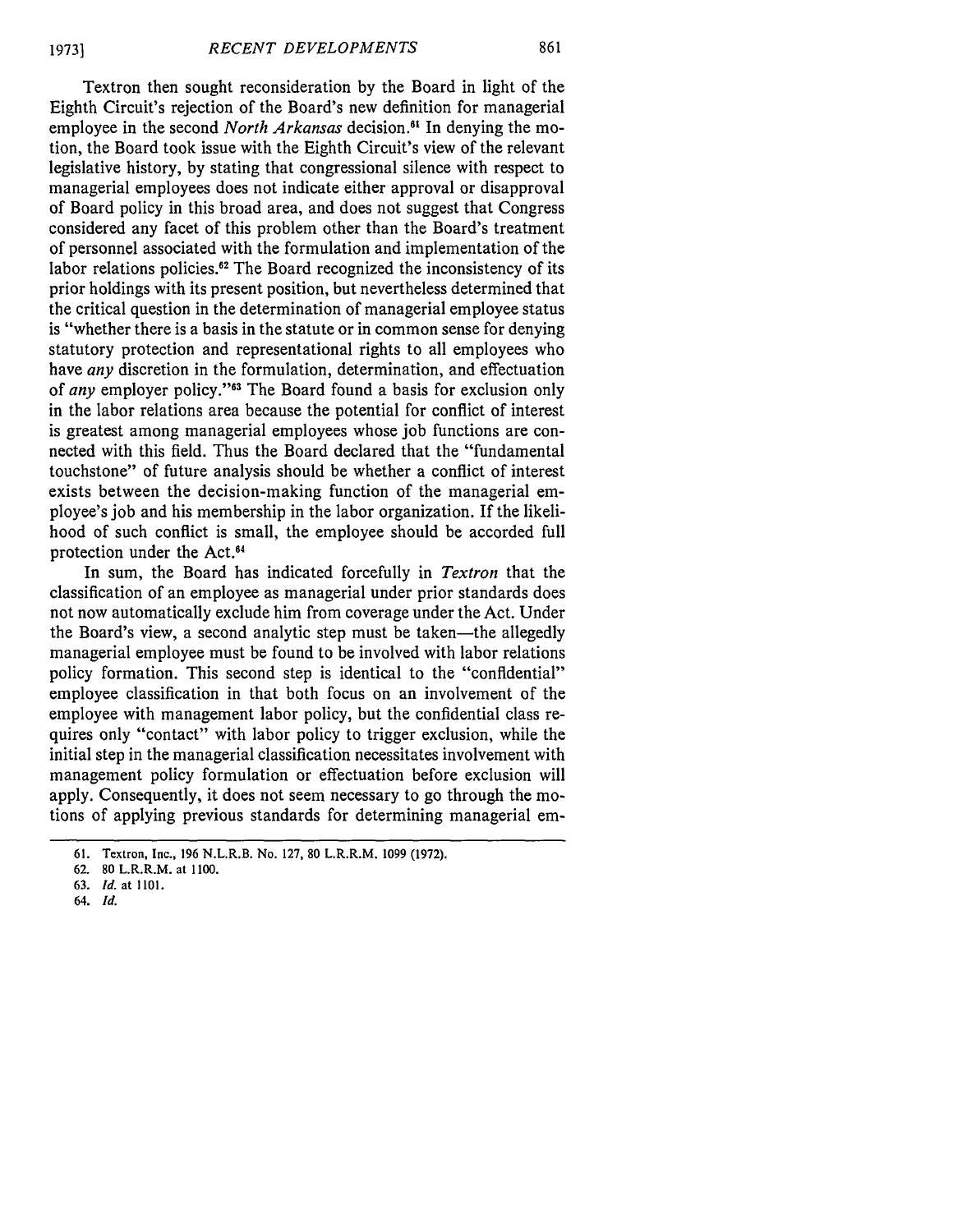Textron then sought reconsideration by the Board in light of the Eighth Circuit's rejection of the Board's new definition for managerial employee in the second *North Arkansas* decision." In denying the motion, the Board took issue with the Eighth Circuit's view of the relevant legislative history, by stating that congressional silence with respect to managerial employees does not indicate either approval or disapproval of Board policy in this broad area, and does not suggest that Congress considered any facet of this problem other than the Board's treatment of personnel associated with the formulation and implementation of the labor relations policies.<sup>62</sup> The Board recognized the inconsistency of its prior holdings with its present position, but nevertheless determined that the critical question in the determination of managerial employee status is "whether there is a basis in the statute or in common sense for denying statutory protection and representational rights to all employees who have *any* discretion in the formulation, determination, and effectuation of *any* employer policy."<sup>33</sup> The Board found a basis for exclusion only in the labor relations area because the potential for conflict of interest is greatest among managerial employees whose job functions are connected with this field. Thus the Board declared that the "fundamental touchstone" of future analysis should be whether a conflict of interest exists between the decision-making function of the managerial employee's job and his membership in the labor organization. If the likelihood of such conflict is small, the employee should be accorded full protection under the Act.<sup>64</sup>

In sum, the Board has indicated forcefully in *Textron* that the classification of an employee as managerial under prior standards does not now automatically exclude him from coverage under the Act. Under the Board's view, a second analytic step must be taken—the allegedly managerial employee must be found to be involved with labor relations policy formation. This second step is identical to the "confidential" employee classification in that both focus on an involvement of the employee with management labor policy, but the confidential class requires only "contact" with labor policy to trigger exclusion, while the initial step in the managerial classification necessitates involvement with management policy formulation or effectuation before exclusion will apply. Consequently, it does not seem necessary to go through the motions of applying previous standards for determining managerial em-

64. *Id.*

**<sup>61.</sup>** Textron, Inc., **196** N.L.R.B. No. **127, 80** L.R.R.M. **1099 (1972).**

**<sup>62. 80</sup>** L.R.R.M. at **1100.**

**<sup>63.</sup>** *Id.* at **1101.**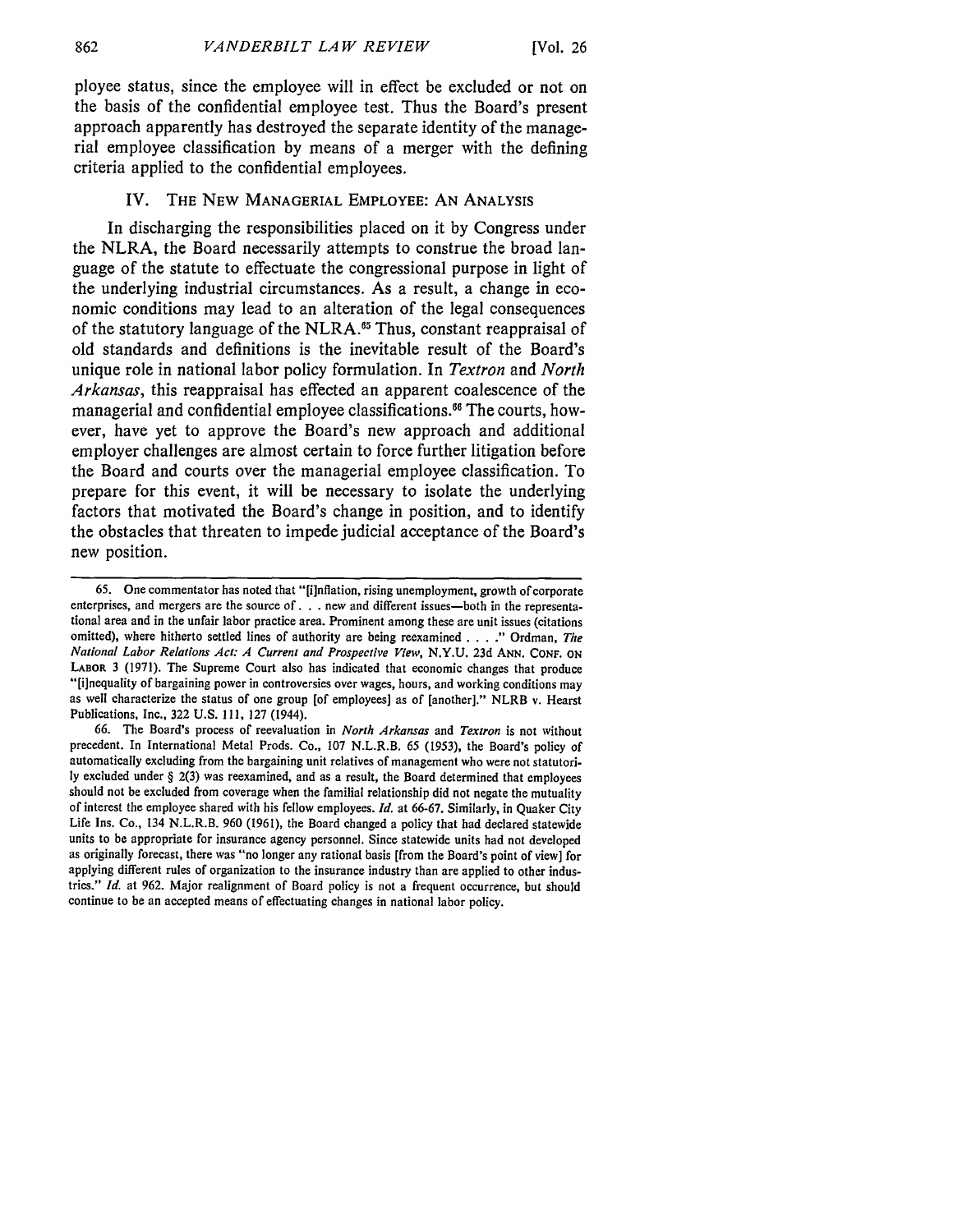ployee status, since the employee will in effect be excluded or not on the basis of the confidential employee test. Thus the Board's present approach apparently has destroyed the separate identity of the managerial employee classification by means of a merger with the defining criteria applied to the confidential employees.

### IV. **THE NEW** MANAGERIAL EMPLOYEE: **AN** ANALYSIS

In discharging the responsibilities placed on it **by** Congress under the NLRA, the Board necessarily attempts to construe the broad language of the statute to effectuate the congressional purpose in light of the underlying industrial circumstances. As a result, a change in economic conditions may lead to an alteration of the legal consequences of the statutory language of the NLRA.<sup>65</sup> Thus, constant reappraisal of old standards and definitions is the inevitable result of the Board's unique role in national labor policy formulation. In *Textron* and *North Arkansas,* this reappraisal has effected an apparent coalescence of the managerial and confidential employee classifications." The courts, however, have yet to approve the Board's new approach and additional employer challenges are almost certain to force further litigation before the Board and courts over the managerial employee classification. To prepare for this event, it will be necessary to isolate the underlying factors that motivated the Board's change in position, and to identify the obstacles that threaten to impede judicial acceptance of the Board's new position.

**66.** The Board's process of reevaluation in *North Arkansas* and *Textron* is not without precedent. In International Metal Prods. Co., **107** N.L.R.B. *65* (1953), the Board's policy of automatically excluding from the bargaining unit relatives of management who were not statutori**ly** excluded under § **2(3)** was reexamined, and as a result, the Board determined that employees should not be excluded from coverage when the familial relationship did not negate the mutuality of interest the employee shared with his fellow employees. *Id.* at 66-67. Similarly, in Quaker City Life Ins. Co., 134 N.L.R.B. 960 **(1961),** the Board changed a policy that had declared statewide units to be appropriate for insurance agency personnel. Since statewide units had not developed as originally forecast, there was "no longer any rational basis [from the Board's point of view] for applying different rules of organization to the insurance industry than are applied to other industries." *Id.* at 962. Major realignment of Board policy is not a frequent occurrence, but should continue to be an accepted means of effectuating changes in national labor policy.

*<sup>65.</sup>* One commentator has noted that "[inflation, rising unemployment, growth of corporate enterprises, and mergers are the source **of. . .**new and different issues-both in the representational area and in the unfair labor practice area. Prominent among these are unit issues (citations omitted), where hitherto settled lines of authority are being reexamined **...."** Ordman, *The National Labor Relations Act: A Current and Prospective View,* **N.Y.U. 23d ANN. CONF. ON** LABOR **3** (1971). The Supreme Court also has indicated that economic changes that produce "[ilnequality of bargaining power in controversies over wages, hours, and working conditions may as well characterize the status of one group [of employees] as of [another]." NLRB v. Hearst Publications, Inc., **322** U.S. **111, 127** (1944).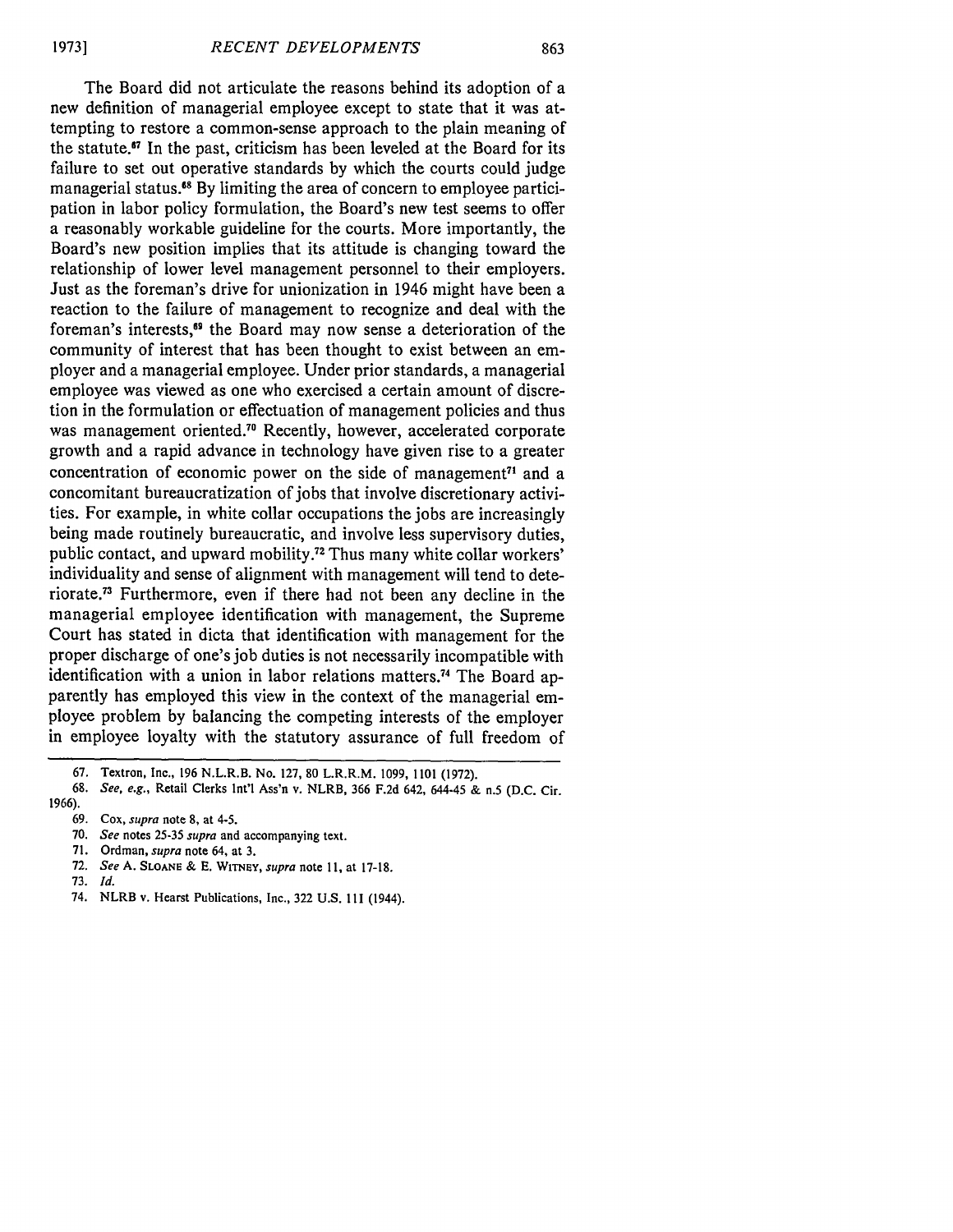The Board did not articulate the reasons behind its adoption of a new definition of managerial employee except to state that it was attempting to restore a common-sense approach to the plain meaning of the statute.67 In the past, criticism has been leveled at the Board for its failure to set out operative standards by which the courts could judge managerial status.<sup>68</sup> By limiting the area of concern to employee participation in labor policy formulation, the Board's new test seems to offer a reasonably workable guideline for the courts. More importantly, the Board's new position implies that its attitude is changing toward the relationship of lower level management personnel to their employers. Just as the foreman's drive for unionization in 1946 might have been a reaction to the failure of management to recognize and deal with the foreman's interests,<sup>69</sup> the Board may now sense a deterioration of the community of interest that has been thought to exist between an employer and a managerial employee. Under prior standards, a managerial employee was viewed as one who exercised a certain amount of discretion in the formulation or effectuation of management policies and thus was management oriented.<sup>70</sup> Recently, however, accelerated corporate growth and a rapid advance in technology have given rise to a greater concentration of economic power on the side of management<sup> $71$ </sup> and a concomitant bureaucratization of jobs that involve discretionary activities. For example, in white collar occupations the jobs are increasingly being made routinely bureaucratic, and involve less supervisory duties, public contact, and upward mobility.72 Thus many white collar workers' individuality and sense of alignment with management will tend to deteriorate **. <sup>7</sup>**Furthermore, even if there had not been any decline in the managerial employee identification with management, the Supreme Court has stated in dicta that identification with management for the proper discharge of one's job duties is not necessarily incompatible with identification with a union in labor relations matters.<sup>74</sup> The Board apparently has employed this view in the context of the managerial employee problem by balancing the competing interests of the employer in employee loyalty with the statutory assurance of full freedom of

- 68. *See, e.g.,* Retail Clerks Int'l Ass'n v. NLRB, 366 F.2d 642, 644-45 & n.5 (D.C. Cir.
- 1966).
	- 69. Cox, *supra* note 8, at 4-5.
	- 70. *See* notes 25-35 *supra* and accompanying text.
	- 71. Ordman, *supra* note 64, at 3.
	- 72. *See* A. **SLOANE** & E. WiTeY, *supra* note **11,** at 17-18.
	- 73. *Id.*
	- 74. NLRB v. Hearst Publications, Inc., 322 U.S. Ill (1944).

<sup>67.</sup> Textron, Inc., 196 N.L.R.B. No. 127, 80 L.R.R.M. 1099, 1101 (1972).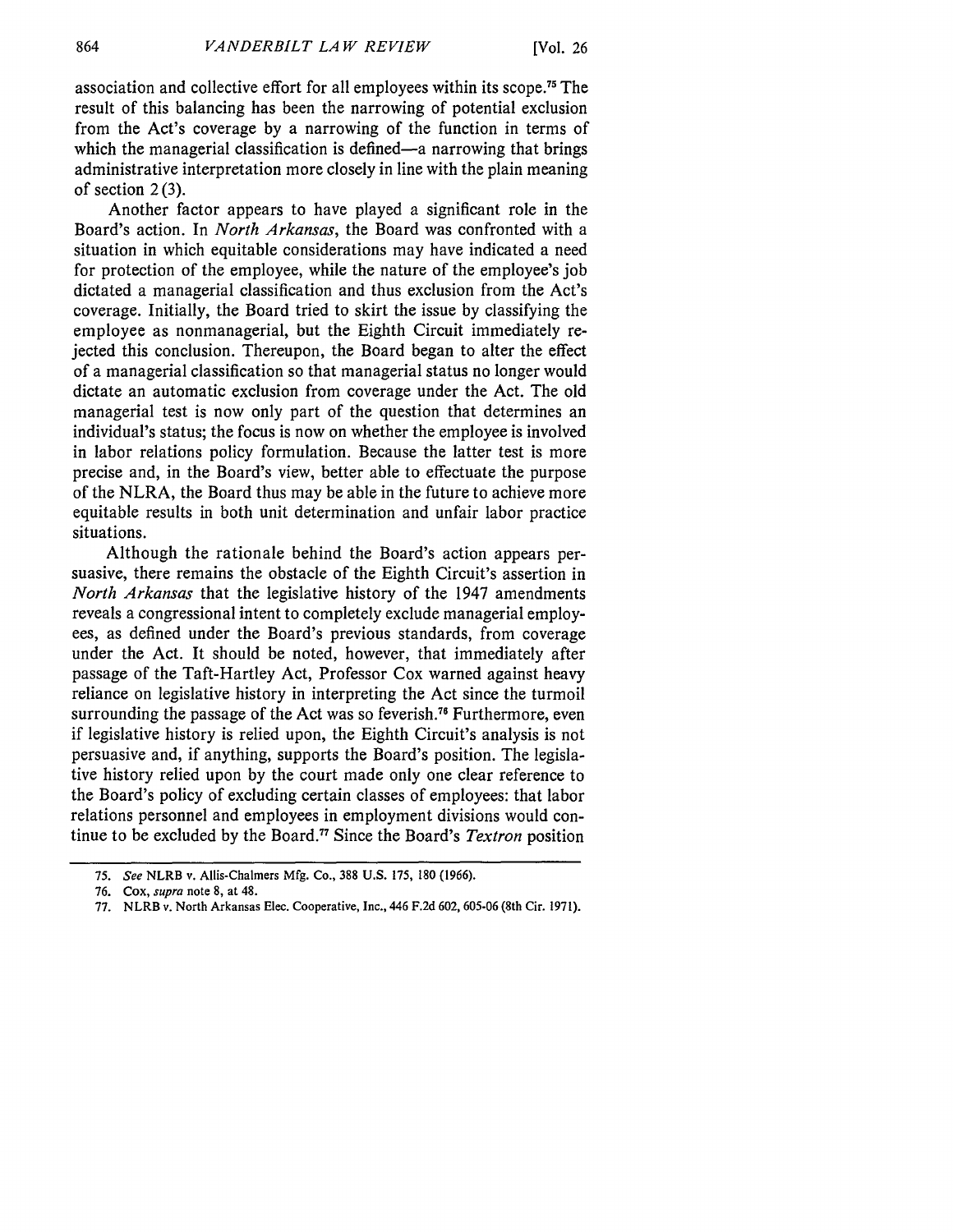association and collective effort for all employees within its scope.75 The result of this balancing has been the narrowing of potential exclusion from the Act's coverage by a narrowing of the function in terms of which the managerial classification is defined—a narrowing that brings administrative interpretation more closely in line with the plain meaning of section  $2(3)$ .

Another factor appears to have played a significant role in the Board's action. In *North Arkansas,* the Board was confronted with a situation in which equitable considerations may have indicated a need for protection of the employee, while the nature of the employee's job dictated a managerial classification and thus exclusion from the Act's coverage. Initially, the Board tried to skirt the issue by classifying the employee as nonmanagerial, but the Eighth Circuit immediately rejected this conclusion. Thereupon, the Board began to alter the effect of a managerial classification so that managerial status no longer would dictate an automatic exclusion from coverage under the Act. The old managerial test is now only part of the question that determines an individual's status; the focus is now on whether the employee is involved in labor relations policy formulation. Because the latter test is more precise and, in the Board's view, better able to effectuate the purpose of the NLRA, the Board thus may be able in the future to achieve more equitable results in both unit determination and unfair labor practice situations.

Although the rationale behind the Board's action appears persuasive, there remains the obstacle of the Eighth Circuit's assertion in *North Arkansas* that the legislative history of the 1947 amendments reveals a congressional intent to completely exclude managerial employees, as defined under the Board's previous standards, from coverage under the Act. It should be noted, however, that immediately after passage of the Taft-Hartley Act, Professor Cox warned against heavy reliance on legislative history in interpreting the Act since the turmoil surrounding the passage of the Act was so feverish.<sup>76</sup> Furthermore, even if legislative history is relied upon, the Eighth Circuit's analysis is not persuasive and, if anything, supports the Board's position. The legislative history relied upon by the court made only one clear reference to the Board's policy of excluding certain classes of employees: that labor relations personnel and employees in employment divisions would continue to be excluded by the Board.77 Since the Board's *Textron* position

*<sup>75.</sup> See* NLRB v. Allis-Chalmers Mfg. Co., 388 U.S. 175, 180 (1966).

**<sup>76.</sup>** Cox, *supra* note 8, at 48.

<sup>77.</sup> NLRB v. North Arkansas Elec. Cooperative, Inc., 446 F.2d 602, 605-06 (8th Cir. 1971).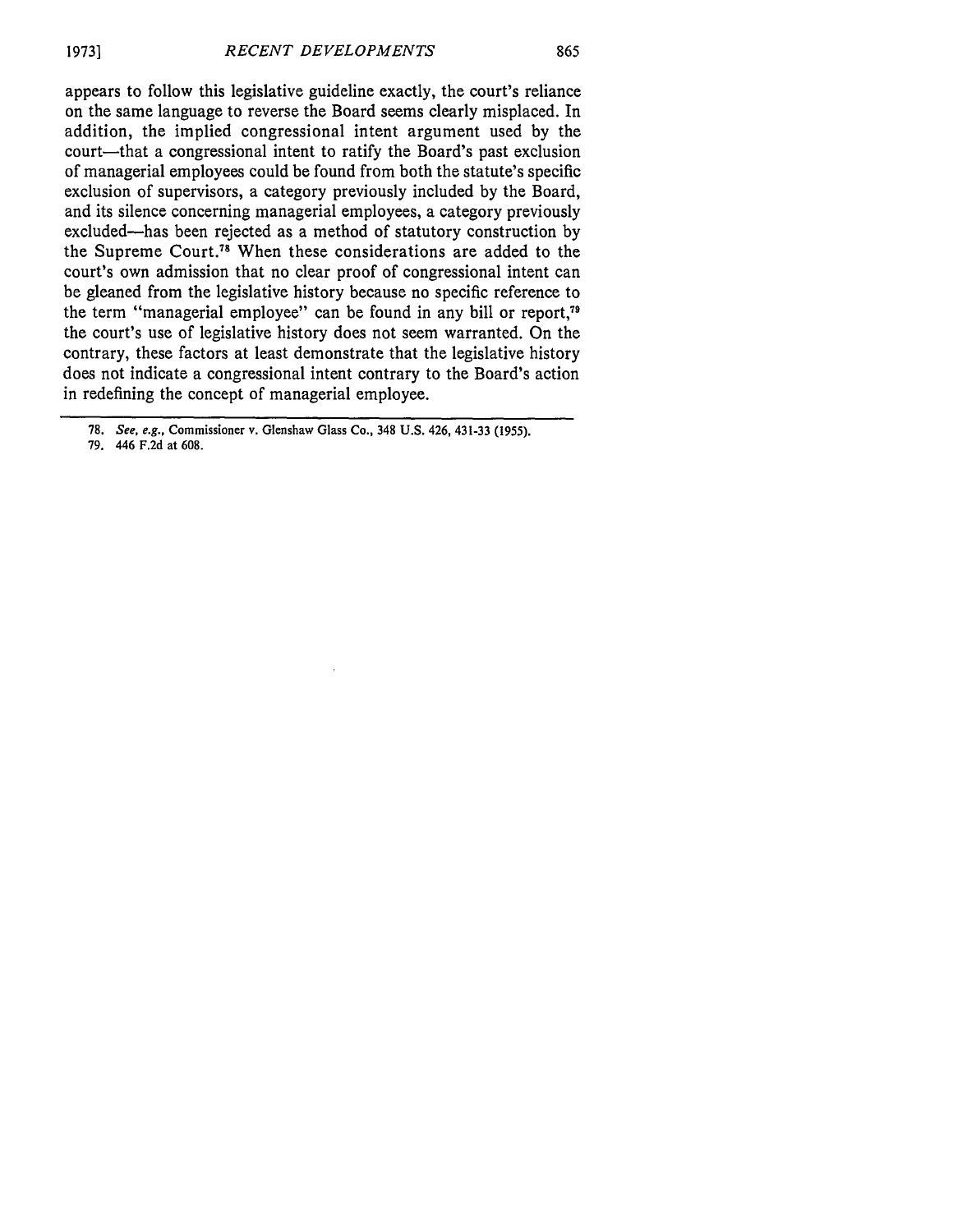appears to follow this legislative guideline exactly, the court's reliance on the same language to reverse the Board seems clearly misplaced. In addition, the implied congressional intent argument used by the court—that a congressional intent to ratify the Board's past exclusion of managerial employees could be found from both the statute's specific exclusion of supervisors, a category previously included by the Board, and its silence concerning managerial employees, a category previously excluded-has been rejected as a method of statutory construction by the Supreme Court."8 When these considerations are added to the court's own admission that no clear proof of congressional intent can be gleaned from the legislative history because no specific reference to the term "managerial employee" can be found in any bill or report," the court's use of legislative history does not seem warranted. On the contrary, these factors at least demonstrate that the legislative history does not indicate a congressional intent contrary to the Board's action in redefining the concept of managerial employee.

79. 446 F.2d at 608.

<sup>78.</sup> See, e.g., Commissioner v. Glenshaw Glass Co., 348 U.S. 426, 431-33 (1955).